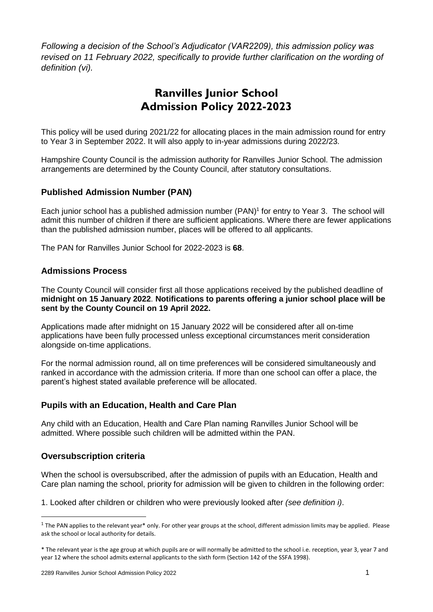*Following a decision of the School's Adjudicator (VAR2209), this admission policy was revised on 11 February 2022, specifically to provide further clarification on the wording of definition (vi).*

# **Ranvilles Junior School Admission Policy 2022-2023**

This policy will be used during 2021/22 for allocating places in the main admission round for entry to Year 3 in September 2022. It will also apply to in-year admissions during 2022/23.

Hampshire County Council is the admission authority for Ranvilles Junior School. The admission arrangements are determined by the County Council, after statutory consultations.

# **Published Admission Number (PAN)**

Each junior school has a published admission number (PAN) 1 for entry to Year 3. The school will admit this number of children if there are sufficient applications. Where there are fewer applications than the published admission number, places will be offered to all applicants.

The PAN for Ranvilles Junior School for 2022-2023 is **68**.

#### **Admissions Process**

The County Council will consider first all those applications received by the published deadline of **midnight on 15 January 2022**. **Notifications to parents offering a junior school place will be sent by the County Council on 19 April 2022.**

Applications made after midnight on 15 January 2022 will be considered after all on-time applications have been fully processed unless exceptional circumstances merit consideration alongside on-time applications.

For the normal admission round, all on time preferences will be considered simultaneously and ranked in accordance with the admission criteria. If more than one school can offer a place, the parent's highest stated available preference will be allocated.

#### **Pupils with an Education, Health and Care Plan**

Any child with an Education, Health and Care Plan naming Ranvilles Junior School will be admitted. Where possible such children will be admitted within the PAN.

#### **Oversubscription criteria**

1

When the school is oversubscribed, after the admission of pupils with an Education, Health and Care plan naming the school, priority for admission will be given to children in the following order:

1. Looked after children or children who were previously looked after *(see definition i)*.

 $1$  The PAN applies to the relevant year\* only. For other year groups at the school, different admission limits may be applied. Please ask the school or local authority for details.

<sup>\*</sup> The relevant year is the age group at which pupils are or will normally be admitted to the school i.e. reception, year 3, year 7 and year 12 where the school admits external applicants to the sixth form (Section 142 of the SSFA 1998).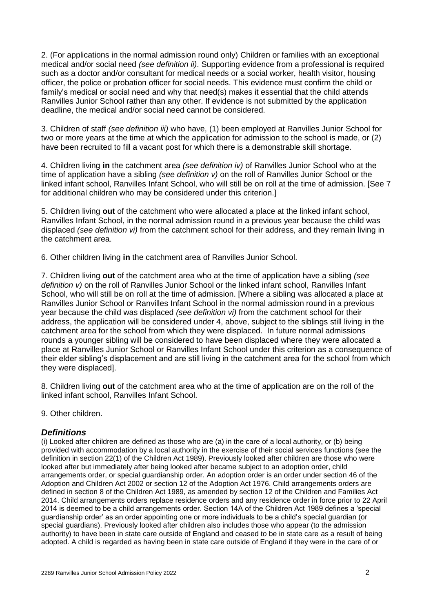2. (For applications in the normal admission round only) Children or families with an exceptional medical and/or social need *(see definition ii)*. Supporting evidence from a professional is required such as a doctor and/or consultant for medical needs or a social worker, health visitor, housing officer, the police or probation officer for social needs. This evidence must confirm the child or family's medical or social need and why that need(s) makes it essential that the child attends Ranvilles Junior School rather than any other. If evidence is not submitted by the application deadline, the medical and/or social need cannot be considered.

3. Children of staff *(see definition iii)* who have, (1) been employed at Ranvilles Junior School for two or more years at the time at which the application for admission to the school is made, or (2) have been recruited to fill a vacant post for which there is a demonstrable skill shortage.

4. Children living **in** the catchment area *(see definition iv)* of Ranvilles Junior School who at the time of application have a sibling *(see definition v)* on the roll of Ranvilles Junior School or the linked infant school, Ranvilles Infant School, who will still be on roll at the time of admission. [See 7 for additional children who may be considered under this criterion.]

5. Children living **out** of the catchment who were allocated a place at the linked infant school, Ranvilles Infant School, in the normal admission round in a previous year because the child was displaced *(see definition vi)* from the catchment school for their address, and they remain living in the catchment area.

6. Other children living **in** the catchment area of Ranvilles Junior School.

7. Children living **out** of the catchment area who at the time of application have a sibling *(see definition v)* on the roll of Ranvilles Junior School or the linked infant school, Ranvilles Infant School, who will still be on roll at the time of admission. [Where a sibling was allocated a place at Ranvilles Junior School or Ranvilles Infant School in the normal admission round in a previous year because the child was displaced *(see definition vi)* from the catchment school for their address, the application will be considered under 4, above, subject to the siblings still living in the catchment area for the school from which they were displaced. In future normal admissions rounds a younger sibling will be considered to have been displaced where they were allocated a place at Ranvilles Junior School or Ranvilles Infant School under this criterion as a consequence of their elder sibling's displacement and are still living in the catchment area for the school from which they were displaced].

8. Children living **out** of the catchment area who at the time of application are on the roll of the linked infant school, Ranvilles Infant School.

9. Other children.

#### *Definitions*

(i) Looked after children are defined as those who are (a) in the care of a local authority, or (b) being provided with accommodation by a local authority in the exercise of their social services functions (see the definition in section 22(1) of the Children Act 1989). Previously looked after children are those who were looked after but immediately after being looked after became subject to an adoption order, child arrangements order, or special guardianship order. An adoption order is an order under section 46 of the Adoption and Children Act 2002 or section 12 of the Adoption Act 1976. Child arrangements orders are defined in section 8 of the Children Act 1989, as amended by section 12 of the Children and Families Act 2014. Child arrangements orders replace residence orders and any residence order in force prior to 22 April 2014 is deemed to be a child arrangements order. Section 14A of the Children Act 1989 defines a 'special guardianship order' as an order appointing one or more individuals to be a child's special guardian (or special guardians). Previously looked after children also includes those who appear (to the admission authority) to have been in state care outside of England and ceased to be in state care as a result of being adopted. A child is regarded as having been in state care outside of England if they were in the care of or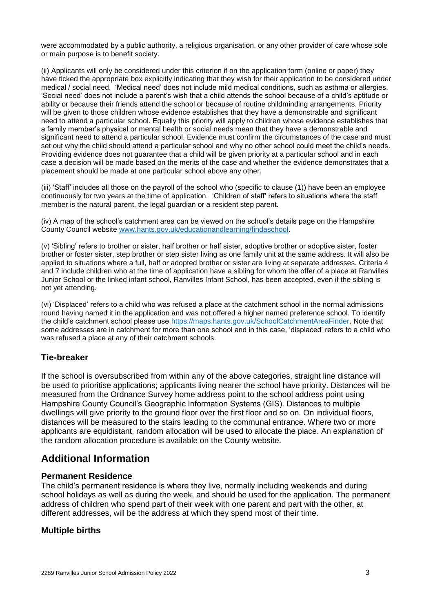were accommodated by a public authority, a religious organisation, or any other provider of care whose sole or main purpose is to benefit society.

(ii) Applicants will only be considered under this criterion if on the application form (online or paper) they have ticked the appropriate box explicitly indicating that they wish for their application to be considered under medical / social need. 'Medical need' does not include mild medical conditions, such as asthma or allergies. 'Social need' does not include a parent's wish that a child attends the school because of a child's aptitude or ability or because their friends attend the school or because of routine childminding arrangements. Priority will be given to those children whose evidence establishes that they have a demonstrable and significant need to attend a particular school. Equally this priority will apply to children whose evidence establishes that a family member's physical or mental health or social needs mean that they have a demonstrable and significant need to attend a particular school. Evidence must confirm the circumstances of the case and must set out why the child should attend a particular school and why no other school could meet the child's needs. Providing evidence does not guarantee that a child will be given priority at a particular school and in each case a decision will be made based on the merits of the case and whether the evidence demonstrates that a placement should be made at one particular school above any other.

(iii) 'Staff' includes all those on the payroll of the school who (specific to clause (1)) have been an employee continuously for two years at the time of application. 'Children of staff' refers to situations where the staff member is the natural parent, the legal guardian or a resident step parent.

(iv) A map of the school's catchment area can be viewed on the school's details page on the Hampshire County Council website [www.hants.gov.uk/educationandlearning/findaschool.](http://www.hants.gov.uk/educationandlearning/findaschool)

(v) 'Sibling' refers to brother or sister, half brother or half sister, adoptive brother or adoptive sister, foster brother or foster sister, step brother or step sister living as one family unit at the same address. It will also be applied to situations where a full, half or adopted brother or sister are living at separate addresses. Criteria 4 and 7 include children who at the time of application have a sibling for whom the offer of a place at Ranvilles Junior School or the linked infant school, Ranvilles Infant School, has been accepted, even if the sibling is not yet attending.

(vi) 'Displaced' refers to a child who was refused a place at the catchment school in the normal admissions round having named it in the application and was not offered a higher named preference school. To identify the child's catchment school please use [https://maps.hants.gov.uk/SchoolCatchmentAreaFinder.](https://maps.hants.gov.uk/SchoolCatchmentAreaFinder/) Note that some addresses are in catchment for more than one school and in this case, 'displaced' refers to a child who was refused a place at any of their catchment schools.

# **Tie-breaker**

If the school is oversubscribed from within any of the above categories, straight line distance will be used to prioritise applications; applicants living nearer the school have priority. Distances will be measured from the Ordnance Survey home address point to the school address point using Hampshire County Council's Geographic Information Systems (GIS). Distances to multiple dwellings will give priority to the ground floor over the first floor and so on. On individual floors, distances will be measured to the stairs leading to the communal entrance. Where two or more applicants are equidistant, random allocation will be used to allocate the place. An explanation of the random allocation procedure is available on the County website.

# **Additional Information**

#### **Permanent Residence**

The child's permanent residence is where they live, normally including weekends and during school holidays as well as during the week, and should be used for the application. The permanent address of children who spend part of their week with one parent and part with the other, at different addresses, will be the address at which they spend most of their time.

# **Multiple births**